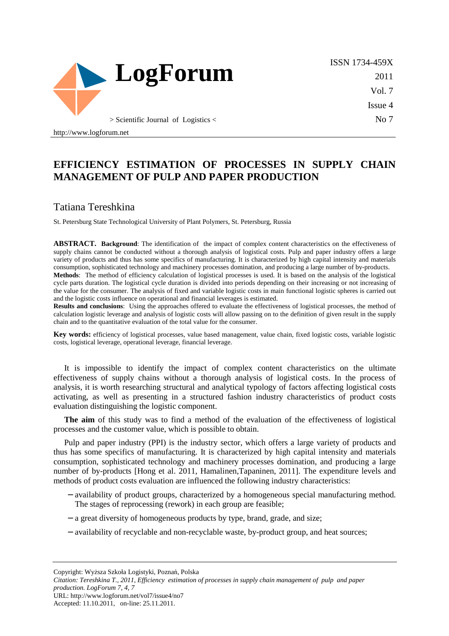

ISSN 1734-459X 2011 Vol. 7 Issue 4 No 7

http://www.logforum.net

# **EFFICIENCY ESTIMATION OF PROCESSES IN SUPPLY CHAIN MANAGEMENT OF PULP AND PAPER PRODUCTION**

### Tatiana Tereshkina

St. Petersburg State Technological University of Plant Polymers, St. Petersburg, Russia

**ABSTRACT. Background**: The identification of the impact of complex content characteristics on the effectiveness of supply chains cannot be conducted without a thorough analysis of logistical costs. Pulp and paper industry offers a large variety of products and thus has some specifics of manufacturing. It is characterized by high capital intensity and materials consumption, sophisticated technology and machinery processes domination, and producing a large number of by-products. **Methods**: The method of efficiency calculation of logistical processes is used. It is based on the analysis of the logistical

cycle parts duration. The logistical cycle duration is divided into periods depending on their increasing or not increasing of the value for the consumer. The analysis of fixed and variable logistic costs in main functional logistic spheres is carried out and the logistic costs influence on operational and financial leverages is estimated.

**Results and conclusions**: Using the approaches offered to evaluate the effectiveness of logistical processes, the method of calculation logistic leverage and analysis of logistic costs will allow passing on to the definition of given result in the supply chain and to the quantitative evaluation of the total value for the consumer.

Key words: efficiency of logistical processes, value based management, value chain, fixed logistic costs, variable logistic costs, logistical leverage, operational leverage, financial leverage.

It is impossible to identify the impact of complex content characteristics on the ultimate effectiveness of supply chains without a thorough analysis of logistical costs. In the process of analysis, it is worth researching structural and analytical typology of factors affecting logistical costs activating, as well as presenting in a structured fashion industry characteristics of product costs evaluation distinguishing the logistic component.

**The aim** of this study was to find a method of the evaluation of the effectiveness of logistical processes and the customer value, which is possible to obtain.

Pulp and paper industry (PPI) is the industry sector, which offers a large variety of products and thus has some specifics of manufacturing. It is characterized by high capital intensity and materials consumption, sophisticated technology and machinery processes domination, and producing a large number of by-products [Hong et al. 2011, Hamalinen,Tapaninen, 2011]. The expenditure levels and methods of product costs evaluation are influenced the following industry characteristics:

- − availability of product groups, characterized by a homogeneous special manufacturing method. The stages of reprocessing (rework) in each group are feasible;
- − a great diversity of homogeneous products by type, brand, grade, and size;
- − availability of recyclable and non-recyclable waste, by-product group, and heat sources;

Copyright: Wyższa Szkoła Logistyki, Poznań, Polska

*Citation: Tereshkina T., 2011, Efficiency estimation of processes in supply chain management of pulp and paper production. LogForum 7, 4, 7*  URL: http://www.logforum.net/vol7/issue4/no7

Accepted: 11.10.2011, on-line: 25.11.2011.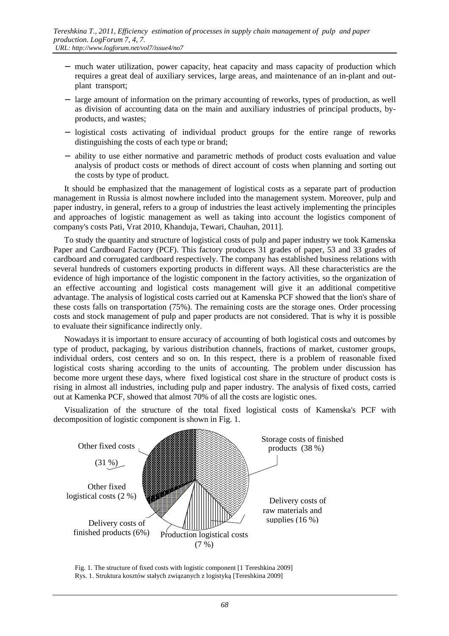- − much water utilization, power capacity, heat capacity and mass capacity of production which requires a great deal of auxiliary services, large areas, and maintenance of an in-plant and outplant transport;
- − large amount of information on the primary accounting of reworks, types of production, as well as division of accounting data on the main and auxiliary industries of principal products, byproducts, and wastes;
- − logistical costs activating of individual product groups for the entire range of reworks distinguishing the costs of each type or brand;
- − ability to use either normative and parametric methods of product costs evaluation and value analysis of product costs or methods of direct account of costs when planning and sorting out the costs by type of product.

It should be emphasized that the management of logistical costs as a separate part of production management in Russia is almost nowhere included into the management system. Moreover, pulp and paper industry, in general, refers to a group of industries the least actively implementing the principles and approaches of logistic management as well as taking into account the logistics component of company's costs Pati, Vrat 2010, Khanduja, Tewari, Chauhan, 2011].

To study the quantity and structure of logistical costs of pulp and paper industry we took Kamenska Paper and Cardboard Factory (PCF). This factory produces 31 grades of paper, 53 and 33 grades of cardboard and corrugated cardboard respectively. The company has established business relations with several hundreds of customers exporting products in different ways. All these characteristics are the evidence of high importance of the logistic component in the factory activities, so the organization of an effective accounting and logistical costs management will give it an additional competitive advantage. The analysis of logistical costs carried out at Kamenska PCF showed that the lion's share of these costs falls on transportation (75%). The remaining costs are the storage ones. Order processing costs and stock management of pulp and paper products are not considered. That is why it is possible to evaluate their significance indirectly only.

Nowadays it is important to ensure accuracy of accounting of both logistical costs and outcomes by type of product, packaging, by various distribution channels, fractions of market, customer groups, individual orders, cost centers and so on. In this respect, there is a problem of reasonable fixed logistical costs sharing according to the units of accounting. The problem under discussion has become more urgent these days, where fixed logistical cost share in the structure of product costs is rising in almost all industries, including pulp and paper industry. The analysis of fixed costs, carried out at Kamenka PCF, showed that almost 70% of all the costs are logistic ones.



Visualization of the structure of the total fixed logistical costs of Kamenska's PCF with decomposition of logistic component is shown in Fig. 1.

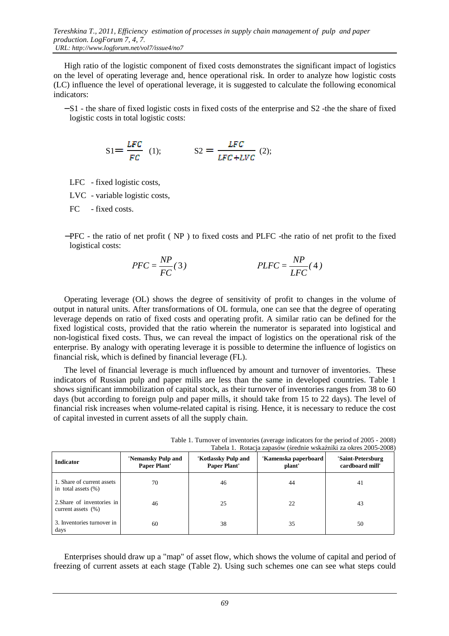High ratio of the logistic component of fixed costs demonstrates the significant impact of logistics on the level of operating leverage and, hence operational risk. In order to analyze how logistic costs (LC) influence the level of operational leverage, it is suggested to calculate the following economical indicators:

− S1 - the share of fixed logistic costs in fixed costs of the enterprise and S2 -the the share of fixed logistic costs in total logistic costs:

$$
SI = \frac{LFC}{FC} \quad (1); \qquad \qquad SI = \frac{LFC}{LFC + LVC} \quad (2);
$$

LFC - fixed logistic costs,

LVC - variable logistic costs,

FC - fixed costs.

−PFC - the ratio of net profit ( NP ) to fixed costs and PLFC -the ratio of net profit to the fixed logistical costs:

$$
PFC = \frac{NP}{FC}(3) \qquad PLFC = \frac{NP}{LFC}(4)
$$

Operating leverage (OL) shows the degree of sensitivity of profit to changes in the volume of output in natural units. After transformations of OL formula, one can see that the degree of operating leverage depends on ratio of fixed costs and operating profit. A similar ratio can be defined for the fixed logistical costs, provided that the ratio wherein the numerator is separated into logistical and non-logistical fixed costs. Thus, we can reveal the impact of logistics on the operational risk of the enterprise. By analogy with operating leverage it is possible to determine the influence of logistics on financial risk, which is defined by financial leverage (FL).

The level of financial leverage is much influenced by amount and turnover of inventories. These indicators of Russian pulp and paper mills are less than the same in developed countries. Table 1 shows significant immobilization of capital stock, as their turnover of inventories ranges from 38 to 60 days (but according to foreign pulp and paper mills, it should take from 15 to 22 days). The level of financial risk increases when volume-related capital is rising. Hence, it is necessary to reduce the cost of capital invested in current assets of all the supply chain.

| <b>Indicator</b>                                     | 'Nemansky Pulp and<br><b>Paper Plant'</b> | 'Kotlassky Pulp and<br><b>Paper Plant'</b> | 'Kamenska paperboard<br>plant' | 'Saint-Petersburg<br>cardboard mill' |
|------------------------------------------------------|-------------------------------------------|--------------------------------------------|--------------------------------|--------------------------------------|
| 1. Share of current assets<br>in total assets $(\%)$ | 70                                        | 46                                         | 44                             | 41                                   |
| 2. Share of inventories in<br>current assets $(% )$  | 46                                        | 25                                         | 22                             | 43                                   |
| 3. Inventories turnover in<br>days                   | 60                                        | 38                                         | 35                             | 50                                   |

Table 1. Turnover of inventories (average indicators for the period of 2005 - 2008) Tabela 1. Rotacja zapasów (średnie wskaźniki za okres 2005-2008)

Enterprises should draw up a "map" of asset flow, which shows the volume of capital and period of freezing of current assets at each stage (Table 2). Using such schemes one can see what steps could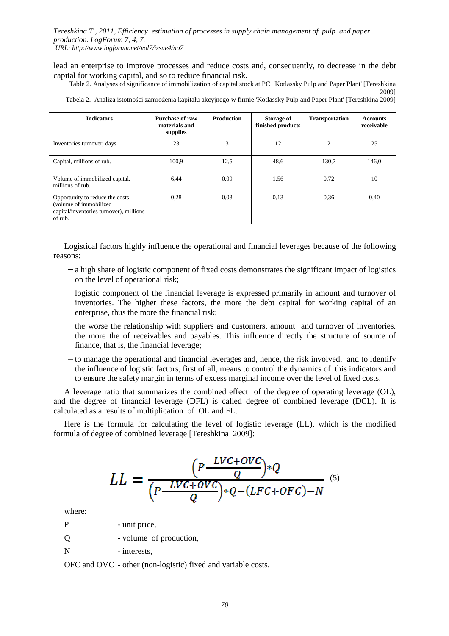lead an enterprise to improve processes and reduce costs and, consequently, to decrease in the debt capital for working capital, and so to reduce financial risk.

Table 2. Analyses of significance of immobilization of capital stock at PC 'Kotlassky Pulp and Paper Plant' [Tereshkina 2009]

| <b>Indicators</b>                                                                                               | Purchase of raw<br>materials and<br>supplies | <b>Production</b> | Storage of<br>finished products | <b>Transportation</b> | <b>Accounts</b><br>receivable |
|-----------------------------------------------------------------------------------------------------------------|----------------------------------------------|-------------------|---------------------------------|-----------------------|-------------------------------|
| Inventories turnover, days                                                                                      | 23                                           | 3                 | 12                              | $\overline{2}$        | 25                            |
| Capital, millions of rub.                                                                                       | 100,9                                        | 12.5              | 48,6                            | 130,7                 | 146,0                         |
| Volume of immobilized capital,<br>millions of rub.                                                              | 6,44                                         | 0.09              | 1,56                            | 0,72                  | 10                            |
| Opportunity to reduce the costs<br>(volume of immobilized<br>capital/inventories turnover), millions<br>of rub. | 0,28                                         | 0.03              | 0.13                            | 0.36                  | 0.40                          |

Tabela 2. Analiza istotności zamrożenia kapitału akcyjnego w firmie 'Kotlassky Pulp and Paper Plant' [Tereshkina 2009]

Logistical factors highly influence the operational and financial leverages because of the following reasons:

- − a high share of logistic component of fixed costs demonstrates the significant impact of logistics on the level of operational risk;
- − logistic component of the financial leverage is expressed primarily in amount and turnover of inventories. The higher these factors, the more the debt capital for working capital of an enterprise, thus the more the financial risk;
- − the worse the relationship with suppliers and customers, amount and turnover of inventories. the more the of receivables and payables. This influence directly the structure of source of finance, that is, the financial leverage;
- − to manage the operational and financial leverages and, hence, the risk involved, and to identify the influence of logistic factors, first of all, means to control the dynamics of this indicators and to ensure the safety margin in terms of excess marginal income over the level of fixed costs.

A leverage ratio that summarizes the combined effect of the degree of operating leverage (OL), and the degree of financial leverage (DFL) is called degree of combined leverage (DCL). It is calculated as a results of multiplication of OL and FL.

Here is the formula for calculating the level of logistic leverage (LL), which is the modified formula of degree of combined leverage [Tereshkina 2009]:

$$
LL = \frac{\left(P - \frac{LVC + OVC}{Q}\right) * Q}{\left(P - \frac{LVC + OVC}{Q}\right) * Q - (LFC + OFC) - N}
$$
\n<sup>(5)</sup>

where:

- P unit price,
- Q volume of production,
- N interests.

OFC and OVC - other (non-logistic) fixed and variable costs.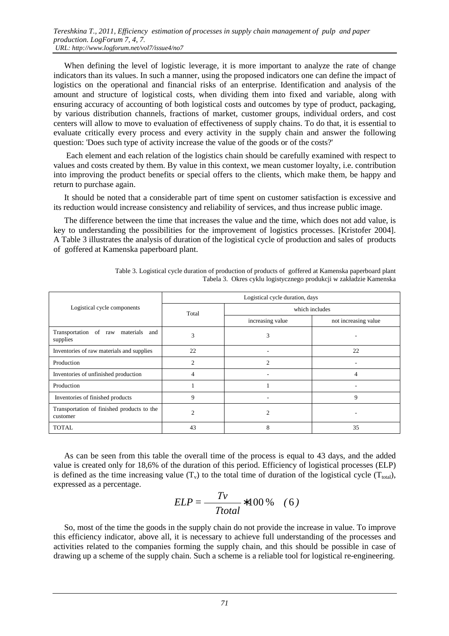When defining the level of logistic leverage, it is more important to analyze the rate of change indicators than its values. In such a manner, using the proposed indicators one can define the impact of logistics on the operational and financial risks of an enterprise. Identification and analysis of the amount and structure of logistical costs, when dividing them into fixed and variable, along with ensuring accuracy of accounting of both logistical costs and outcomes by type of product, packaging, by various distribution channels, fractions of market, customer groups, individual orders, and cost centers will allow to move to evaluation of effectiveness of supply chains. To do that, it is essential to evaluate critically every process and every activity in the supply chain and answer the following question: 'Does such type of activity increase the value of the goods or of the costs?'

 Each element and each relation of the logistics chain should be carefully examined with respect to values and costs created by them. By value in this context, we mean customer loyalty, i.e. contribution into improving the product benefits or special offers to the clients, which make them, be happy and return to purchase again.

It should be noted that a considerable part of time spent on customer satisfaction is excessive and its reduction would increase consistency and reliability of services, and thus increase public image.

The difference between the time that increases the value and the time, which does not add value, is key to understanding the possibilities for the improvement of logistics processes. [Kristofer 2004]. A Table 3 illustrates the analysis of duration of the logistical cycle of production and sales of products of goffered at Kamenska paperboard plant.

|                                                        | Logistical cycle duration, days |                  |                      |  |  |
|--------------------------------------------------------|---------------------------------|------------------|----------------------|--|--|
| Logistical cycle components                            | Total                           | which includes   |                      |  |  |
|                                                        |                                 | increasing value | not increasing value |  |  |
| Transportation<br>of raw materials and<br>supplies     | 3                               | 3                |                      |  |  |
| Inventories of raw materials and supplies              | 22                              | ٠                | 22                   |  |  |
| Production                                             | $\overline{c}$                  | $\overline{c}$   |                      |  |  |
| Inventories of unfinished production                   | 4                               |                  | 4                    |  |  |
| Production                                             |                                 |                  |                      |  |  |
| Inventories of finished products                       | 9                               |                  | 9                    |  |  |
| Transportation of finished products to the<br>customer | 2                               | $\overline{c}$   |                      |  |  |
| <b>TOTAL</b>                                           | 43                              | 8                | 35                   |  |  |

Table 3. Logistical cycle duration of production of products of goffered at Kamenska paperboard plant Tabela 3. Okres cyklu logistycznego produkcji w zakładzie Kamenska

As can be seen from this table the overall time of the process is equal to 43 days, and the added value is created only for 18,6% of the duration of this period. Efficiency of logistical processes (ELP) is defined as the time increasing value  $(T_v)$  to the total time of duration of the logistical cycle  $(T_{total})$ , expressed as a percentage.

$$
ELP = \frac{Tv}{Total} * 100\% \quad (6)
$$

So, most of the time the goods in the supply chain do not provide the increase in value. To improve this efficiency indicator, above all, it is necessary to achieve full understanding of the processes and activities related to the companies forming the supply chain, and this should be possible in case of drawing up a scheme of the supply chain. Such a scheme is a reliable tool for logistical re-engineering.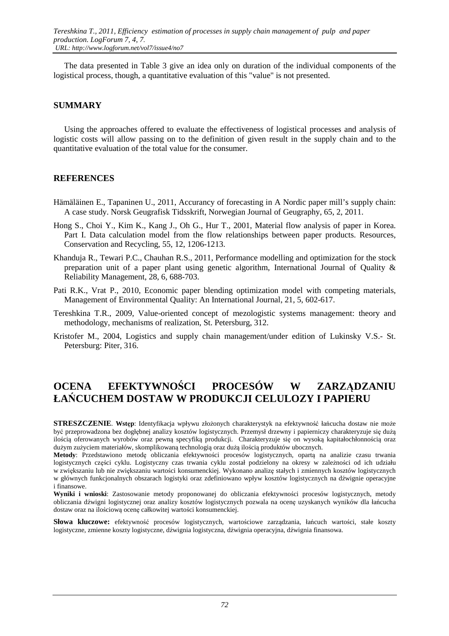The data presented in Table 3 give an idea only on duration of the individual components of the logistical process, though, a quantitative evaluation of this "value" is not presented.

#### **SUMMARY**

Using the approaches offered to evaluate the effectiveness of logistical processes and analysis of logistic costs will allow passing on to the definition of given result in the supply chain and to the quantitative evaluation of the total value for the consumer.

#### **REFERENCES**

- Hämäläinen E., Tapaninen U., 2011, Accurancy of forecasting in A Nordic paper mill's supply chain: A case study. Norsk Geugrafisk Tidsskrift, Norwegian Journal of Geugraphy, 65, 2, 2011.
- Hong S., Choi Y., Kim K., Kang J., Oh G., Hur T., 2001, Material flow analysis of paper in Korea. Part I. Data calculation model from the flow relationships between paper products. Resources, Conservation and Recycling, 55, 12, 1206-1213.
- Khanduja R., Tewari P.C., Chauhan R.S., 2011, Performance modelling and optimization for the stock preparation unit of a paper plant using genetic algorithm, International Journal of Quality & Reliability Management, 28, 6, 688-703.
- Pati R.K., Vrat P., 2010, Economic paper blending optimization model with competing materials, Management of Environmental Quality: An International Journal, 21, 5, 602-617.
- Tereshkina T.R., 2009, Value-oriented concept of mezologistic systems management: theory and methodology, mechanisms of realization, St. Petersburg, 312.
- Kristofer M., 2004, Logistics and supply chain management/under edition of Lukinsky V.S.- St. Petersburg: Piter, 316.

# **OCENA EFEKTYWNOŚCI PROCESÓW W ZARZĄDZANIU ŁAŃCUCHEM DOSTAW W PRODUKCJI CELULOZY I PAPIERU**

**STRESZCZENIE**. **Wstęp**: Identyfikacja wpływu złożonych charakterystyk na efektywność łańcucha dostaw nie może być przeprowadzona bez dogłębnej analizy kosztów logistycznych. Przemysł drzewny i papierniczy charakteryzuje się dużą ilością oferowanych wyrobów oraz pewną specyfiką produkcji. Charakteryzuje się on wysoką kapitałochłonnością oraz dużym zużyciem materiałów, skomplikowaną technologią oraz dużą ilością produktów ubocznych.

**Metody**: Przedstawiono metodę obliczania efektywności procesów logistycznych, opartą na analizie czasu trwania logistycznych części cyklu. Logistyczny czas trwania cyklu został podzielony na okresy w zależności od ich udziału w zwiększaniu lub nie zwiększaniu wartości konsumenckiej. Wykonano analizę stałych i zmiennych kosztów logistycznych w głównych funkcjonalnych obszarach logistyki oraz zdefiniowano wpływ kosztów logistycznych na dźwignie operacyjne i finansowe.

**Wyniki i wnioski**: Zastosowanie metody proponowanej do obliczania efektywności procesów logistycznych, metody obliczania dźwigni logistycznej oraz analizy kosztów logistycznych pozwala na ocenę uzyskanych wyników dla łańcucha dostaw oraz na ilościową ocenę całkowitej wartości konsumenckiej.

**Słowa kluczowe:** efektywność procesów logistycznych, wartościowe zarządzania, łańcuch wartości, stałe koszty logistyczne, zmienne koszty logistyczne, dźwignia logistyczna, dźwignia operacyjna, dźwignia finansowa.